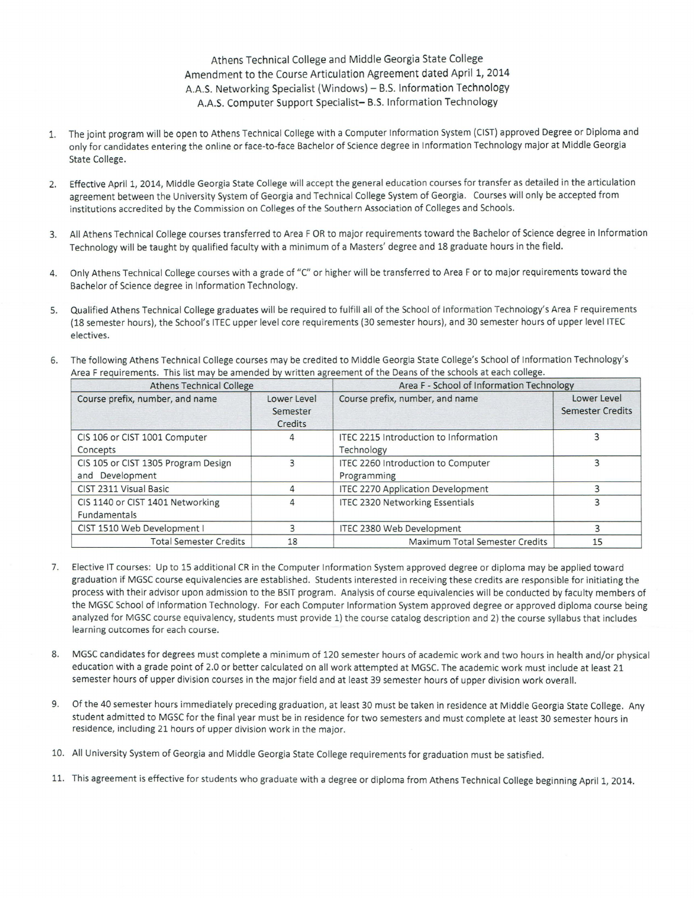## Athens Technical College and Middle Georgia State College Amendment to the Course Articulation Agreement dated April 1, 2014 A.A.S. Networking Specialist (Windows) - B.S. Information Technology A.A.S. Computer Support Specialist- B.S. Information Technology

- 1. The joint program will be open to Athens Technical College with a Computer Information System (CIST) approved Degree or Diploma and only for candidates entering the online or face-to-face Bachelor of Science degree in Information Technology major at Middle Georgia State College.
- 2. Effective April 1, 2014, Middle Georgia State College will accept the general education courses for transfer as detailed in the articulation agreement between the University System of Georgia and Technical College System of Georgia. Courses will only be accepted from institutions accredited by the Commission on Colleges of the Southern Association of Colleges and Schools.
- 3. All Athens Technical College courses transferred to Area FOR to major requirements toward the Bachelor of Science degree in Information Technology will be taught by qualified faculty with a minimum of a Masters' degree and 18 graduate hours in the field.
- 4. Only Athens Technical College courses with a grade of "C" or higher will be transferred to Area For to major requirements toward the Bachelor of Science degree in Information Technology.
- 5. Qualified Athens Technical College graduates will be required to fulfill all of the School of Information Technology's Area F requirements (18 semester hours), the School's JTEC upper level core requirements (30 semester hours), and 30 semester hours of upper leve!ITEC electives.
- 6. The following Athens Technical College courses may be credited to Middle Georgia State College's School of Information Technology's Area F requirements. This list may be amended by written agreement of the Deans of the schools at each college.

| <b>Athens Technical College</b>                        |                                           | Area F - School of Information Technology           |                                        |
|--------------------------------------------------------|-------------------------------------------|-----------------------------------------------------|----------------------------------------|
| Course prefix, number, and name                        | Lower Level<br>Semester<br><b>Credits</b> | Course prefix, number, and name                     | Lower Level<br><b>Semester Credits</b> |
| CIS 106 or CIST 1001 Computer<br>Concepts              | 4                                         | ITEC 2215 Introduction to Information<br>Technology |                                        |
| CIS 105 or CIST 1305 Program Design<br>and Development |                                           | ITEC 2260 Introduction to Computer<br>Programming   |                                        |
| CIST 2311 Visual Basic                                 | 4                                         | <b>ITEC 2270 Application Development</b>            |                                        |
| CIS 1140 or CIST 1401 Networking<br>Fundamentals       | 4                                         | <b>ITEC 2320 Networking Essentials</b>              |                                        |
| CIST 1510 Web Development I                            |                                           | <b>ITEC 2380 Web Development</b>                    |                                        |
| <b>Total Semester Credits</b>                          | 18                                        | Maximum Total Semester Credits                      | 15                                     |

- 7. Elective IT courses: Up to 15 additional CR in the Computer Information System approved degree or diploma may be applied toward graduation if MGSC course equivalencies are established. Students interested in receiving these credits are responsible for initiating the process with their advisor upon admission to the BSIT program. Analysis of course equivalencies will be conducted by faculty members of the MGSC School of Information Technology. For each Computer Information System approved degree or approved diploma course being analyzed for MGSC course equivalency, students must provide 1) the course catalog description and 2) the course syllabus that includes learning outcomes for each course.
- 8. MGSC candidates for degrees must complete a minimum of 120 semester hours of academic work and two hours in health and/or physical education with a grade point of 2.0 or better calculated on all work attempted at MGSC. The academic work must include at least 21 semester hours of upper division courses in the major field and at least 39 semester hours of upper division work overall.
- 9. Of the 40 semester hours immediately preceding graduation, at least 30 must be taken in residence at Middle Georgia State College. Any student admitted to MGSC for the final year must be in residence for two semesters and must complete at least 30 semester hours in residence, including 21 hours of upper division work in the major.
- 10. All University System of Georgia and Middle Georgia State College requirements for graduation must be satisfied.
- 11. This agreement is effective for students who graduate with a degree or diploma from Athens Technical College beginning April 1, 2014.